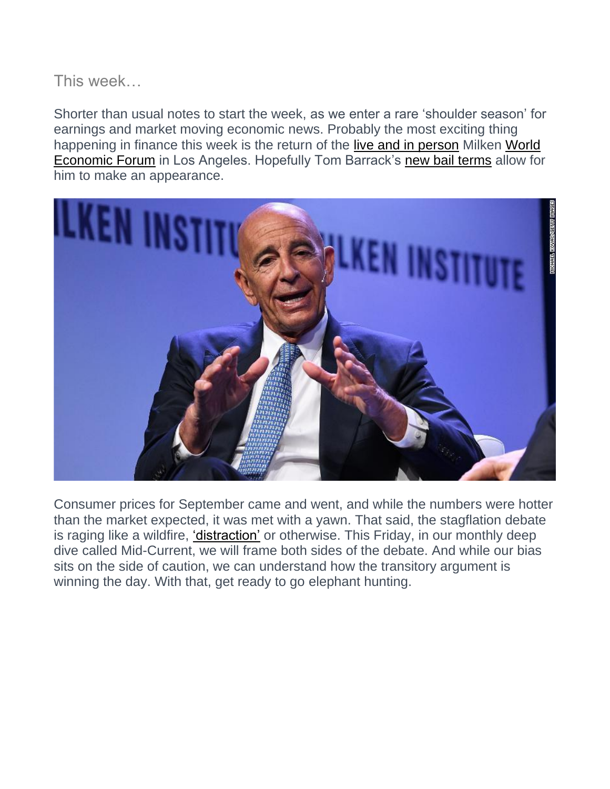# This week…

Shorter than usual notes to start the week, as we enter a rare 'shoulder season' for earnings and market moving economic news. Probably the most exciting thing happening in finance this week is the return of the [live and in person](https://www.maryvilleforum.com/business/milken-institute-global-conference-opens-october-17/article_910e89c7-b9e8-508c-9ff5-4fa3f1e7df52.html) Milken [World](https://www.weforum.org/agenda/archive)  [Economic Forum](https://www.weforum.org/agenda/archive) in Los Angeles. Hopefully Tom Barrack's [new bail terms](https://www.bloombergquint.com/onweb/barrack-wants-to-return-to-work-asks-judge-to-ease-restrictions) allow for him to make an appearance.



Consumer prices for September came and went, and while the numbers were hotter than the market expected, it was met with a yawn. That said, the stagflation debate is raging like a wildfire, ['distraction'](https://financialpost.com/investing/stagflation-debate-is-just-a-massive-distraction-rbcs-porcelli-says) or otherwise. This Friday, in our monthly deep dive called Mid-Current, we will frame both sides of the debate. And while our bias sits on the side of caution, we can understand how the transitory argument is winning the day. With that, get ready to go elephant hunting.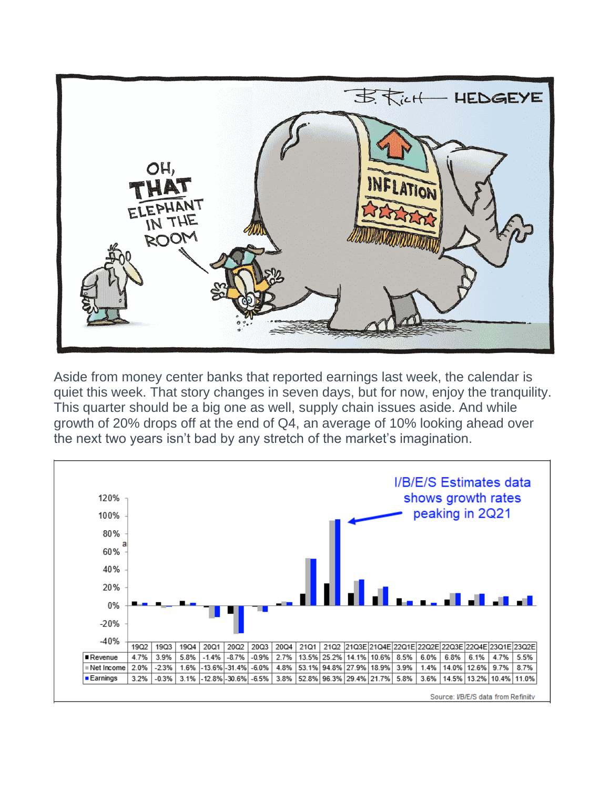

Aside from money center banks that reported earnings last week, the calendar is quiet this week. That story changes in seven days, but for now, enjoy the tranquility. This quarter should be a big one as well, supply chain issues aside. And while growth of 20% drops off at the end of Q4, an average of 10% looking ahead over the next two years isn't bad by any stretch of the market's imagination.

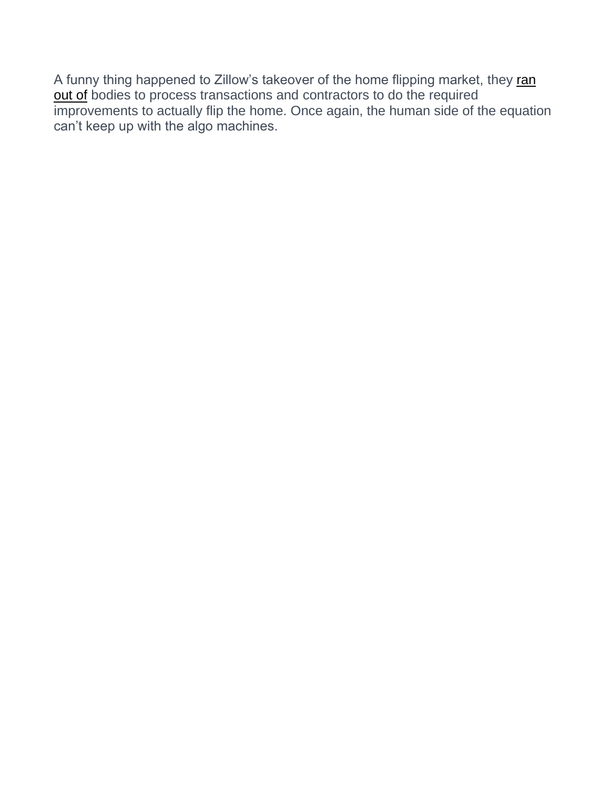A funny thing happened to Zillow's takeover of the home flipping market, they ran [out of](https://www.marketwatch.com/story/zillow-to-stop-purchasing-us-homes-after-building-big-backlog-and-facing-staff-shortages-bloomberg-2021-10-18) bodies to process transactions and contractors to do the required improvements to actually flip the home. Once again, the human side of the equation can't keep up with the algo machines.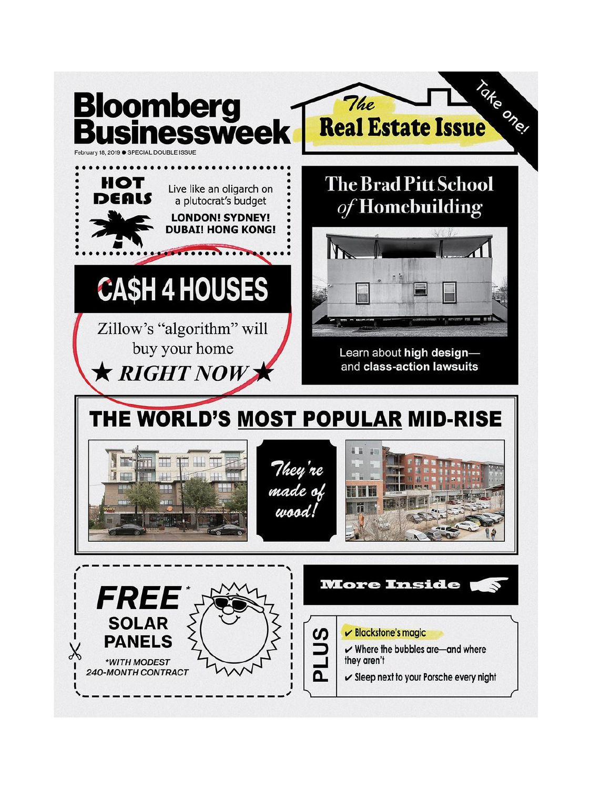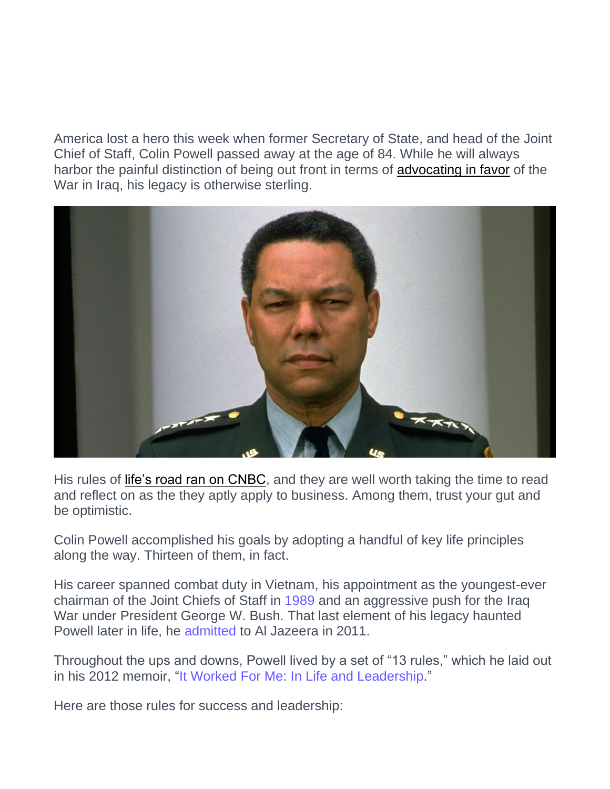America lost a hero this week when former Secretary of State, and head of the Joint Chief of Staff, Colin Powell passed away at the age of 84. While he will always harbor the painful distinction of being out front in terms of [advocating in favor](https://www.aljazeera.com/news/2011/9/11/colin-powell-regrets-iraq-war-intelligence) of the War in Iraq, his legacy is otherwise sterling.



His rules of [life's road ran on CNBC,](https://www.cnbc.com/2021/10/18/black-american-trailblazer-colin-powells-13-rules-for-life-and-work.html) and they are well worth taking the time to read and reflect on as the they aptly apply to business. Among them, trust your gut and be optimistic.

Colin Powell accomplished his goals by adopting a handful of key life principles along the way. Thirteen of them, in fact.

His career spanned combat duty in Vietnam, his appointment as the youngest-ever chairman of the Joint Chiefs of Staff in [1989](https://www.latimes.com/archives/la-xpm-1989-08-10-mn-413-story.html) and an aggressive push for the Iraq War under President George W. Bush. That last element of his legacy haunted Powell later in life, he [admitted](https://www.aljazeera.com/news/2011/9/11/colin-powell-regrets-iraq-war-intelligence) to Al Jazeera in 2011.

Throughout the ups and downs, Powell lived by a set of "13 rules," which he laid out in his 2012 memoir, ["It Worked For Me: In Life and Leadership.](https://smile.amazon.com/Worked-Me-Life-Leadership/dp/0062135139/ref=sr_1_2?dchild=1&keywords=it+worked+for+me&qid=1607112762&sr=8-2)"

Here are those rules for success and leadership: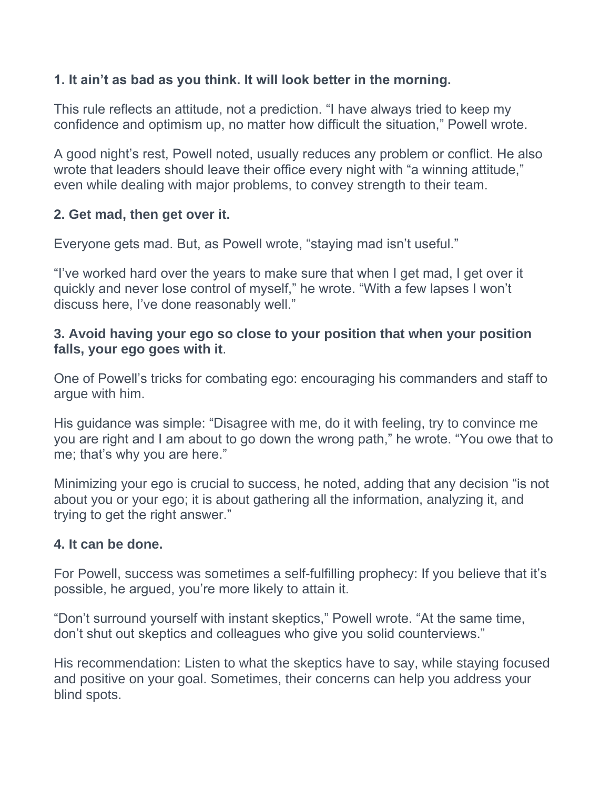# **1. It ain't as bad as you think. It will look better in the morning.**

This rule reflects an attitude, not a prediction. "I have always tried to keep my confidence and optimism up, no matter how difficult the situation," Powell wrote.

A good night's rest, Powell noted, usually reduces any problem or conflict. He also wrote that leaders should leave their office every night with "a winning attitude," even while dealing with major problems, to convey strength to their team.

#### **2. Get mad, then get over it.**

Everyone gets mad. But, as Powell wrote, "staying mad isn't useful."

"I've worked hard over the years to make sure that when I get mad, I get over it quickly and never lose control of myself," he wrote. "With a few lapses I won't discuss here, I've done reasonably well."

#### **3. Avoid having your ego so close to your position that when your position falls, your ego goes with it**.

One of Powell's tricks for combating ego: encouraging his commanders and staff to argue with him.

His guidance was simple: "Disagree with me, do it with feeling, try to convince me you are right and I am about to go down the wrong path," he wrote. "You owe that to me; that's why you are here."

Minimizing your ego is crucial to success, he noted, adding that any decision "is not about you or your ego; it is about gathering all the information, analyzing it, and trying to get the right answer."

#### **4. It can be done.**

For Powell, success was sometimes a self-fulfilling prophecy: If you believe that it's possible, he argued, you're more likely to attain it.

"Don't surround yourself with instant skeptics," Powell wrote. "At the same time, don't shut out skeptics and colleagues who give you solid counterviews."

His recommendation: Listen to what the skeptics have to say, while staying focused and positive on your goal. Sometimes, their concerns can help you address your blind spots.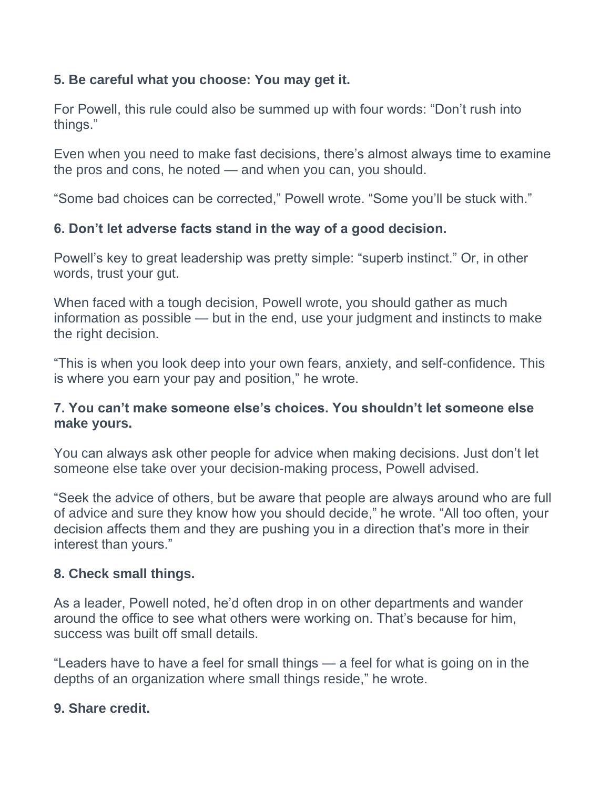# **5. Be careful what you choose: You may get it.**

For Powell, this rule could also be summed up with four words: "Don't rush into things."

Even when you need to make fast decisions, there's almost always time to examine the pros and cons, he noted — and when you can, you should.

"Some bad choices can be corrected," Powell wrote. "Some you'll be stuck with."

# **6. Don't let adverse facts stand in the way of a good decision.**

Powell's key to great leadership was pretty simple: "superb instinct." Or, in other words, trust your gut.

When faced with a tough decision, Powell wrote, you should gather as much information as possible — but in the end, use your judgment and instincts to make the right decision.

"This is when you look deep into your own fears, anxiety, and self-confidence. This is where you earn your pay and position," he wrote.

# **7. You can't make someone else's choices. You shouldn't let someone else make yours.**

You can always ask other people for advice when making decisions. Just don't let someone else take over your decision-making process, Powell advised.

"Seek the advice of others, but be aware that people are always around who are full of advice and sure they know how you should decide," he wrote. "All too often, your decision affects them and they are pushing you in a direction that's more in their interest than yours."

# **8. Check small things.**

As a leader, Powell noted, he'd often drop in on other departments and wander around the office to see what others were working on. That's because for him, success was built off small details.

"Leaders have to have a feel for small things — a feel for what is going on in the depths of an organization where small things reside," he wrote.

# **9. Share credit.**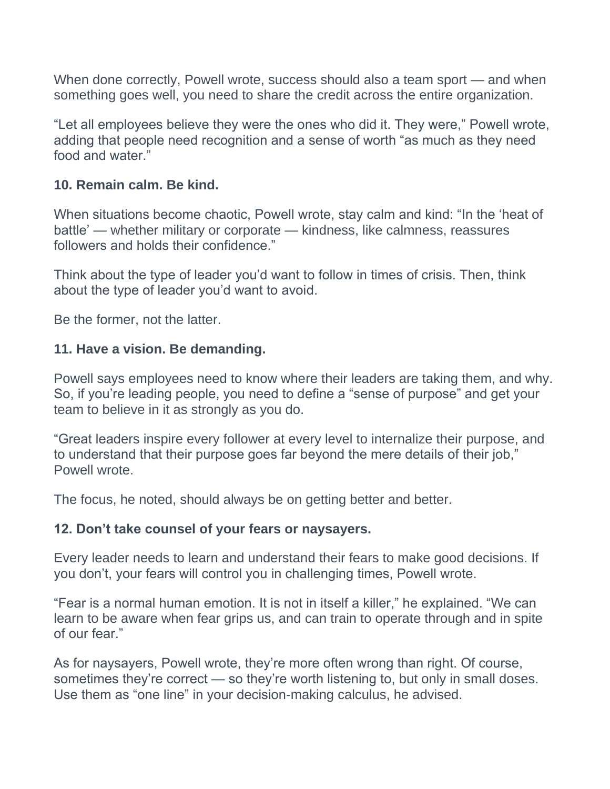When done correctly, Powell wrote, success should also a team sport — and when something goes well, you need to share the credit across the entire organization.

"Let all employees believe they were the ones who did it. They were," Powell wrote, adding that people need recognition and a sense of worth "as much as they need food and water."

#### **10. Remain calm. Be kind.**

When situations become chaotic, Powell wrote, stay calm and kind: "In the 'heat of battle' — whether military or corporate — kindness, like calmness, reassures followers and holds their confidence."

Think about the type of leader you'd want to follow in times of crisis. Then, think about the type of leader you'd want to avoid.

Be the former, not the latter.

#### **11. Have a vision. Be demanding.**

Powell says employees need to know where their leaders are taking them, and why. So, if you're leading people, you need to define a "sense of purpose" and get your team to believe in it as strongly as you do.

"Great leaders inspire every follower at every level to internalize their purpose, and to understand that their purpose goes far beyond the mere details of their job," Powell wrote.

The focus, he noted, should always be on getting better and better.

#### **12. Don't take counsel of your fears or naysayers.**

Every leader needs to learn and understand their fears to make good decisions. If you don't, your fears will control you in challenging times, Powell wrote.

"Fear is a normal human emotion. It is not in itself a killer," he explained. "We can learn to be aware when fear grips us, and can train to operate through and in spite of our fear."

As for naysayers, Powell wrote, they're more often wrong than right. Of course, sometimes they're correct — so they're worth listening to, but only in small doses. Use them as "one line" in your decision-making calculus, he advised.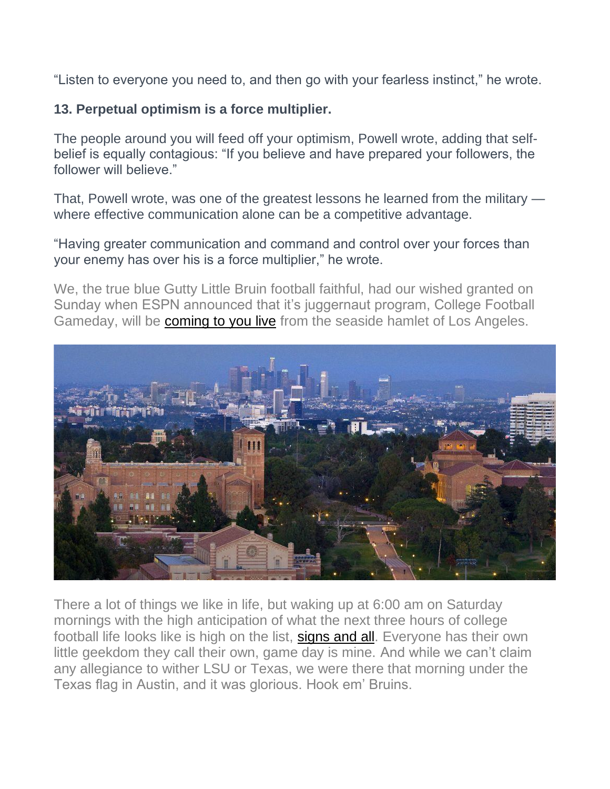"Listen to everyone you need to, and then go with your fearless instinct," he wrote.

# **13. Perpetual optimism is a force multiplier.**

The people around you will feed off your optimism, Powell wrote, adding that selfbelief is equally contagious: "If you believe and have prepared your followers, the follower will believe."

That, Powell wrote, was one of the greatest lessons he learned from the military where effective communication alone can be a competitive advantage.

"Having greater communication and command and control over your forces than your enemy has over his is a force multiplier," he wrote.

We, the true blue Gutty Little Bruin football faithful, had our wished granted on Sunday when ESPN announced that it's juggernaut program, College Football Gameday, will be [coming to you live](https://www.si.com/college/ucla/football/ucla-to-host-espn-college-gameday-for-upcoming-oregon-matchup) from the seaside hamlet of Los Angeles.



There a lot of things we like in life, but waking up at 6:00 am on Saturday mornings with the high anticipation of what the next three hours of college football life looks like is high on the list, [signs and all.](https://www.youtube.com/watch?v=RUbjy7f5pR0) Everyone has their own little geekdom they call their own, game day is mine. And while we can't claim any allegiance to wither LSU or Texas, we were there that morning under the Texas flag in Austin, and it was glorious. Hook em' Bruins.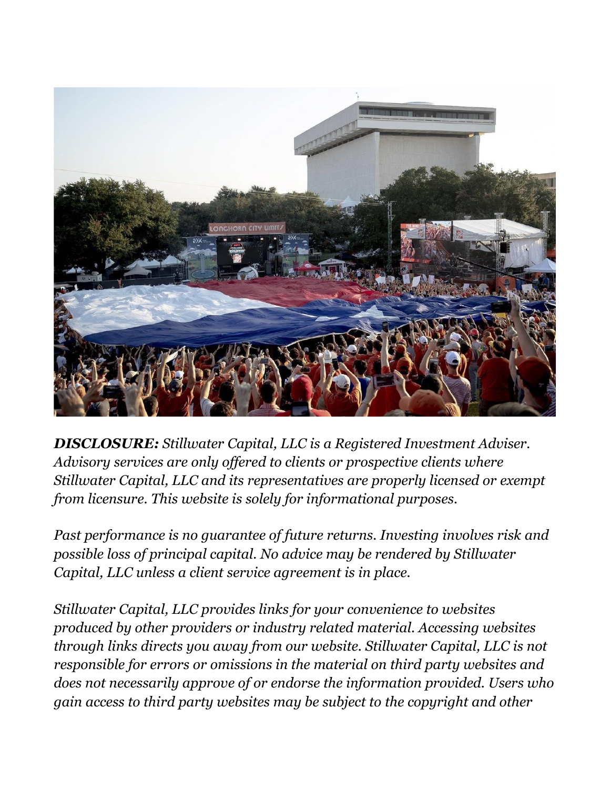

*DISCLOSURE: Stillwater Capital, LLC is a Registered Investment Adviser. Advisory services are only offered to clients or prospective clients where Stillwater Capital, LLC and its representatives are properly licensed or exempt from licensure. This website is solely for informational purposes.*

*Past performance is no guarantee of future returns. Investing involves risk and possible loss of principal capital. No advice may be rendered by Stillwater Capital, LLC unless a client service agreement is in place.*

*Stillwater Capital, LLC provides links for your convenience to websites produced by other providers or industry related material. Accessing websites through links directs you away from our website. Stillwater Capital, LLC is not responsible for errors or omissions in the material on third party websites and does not necessarily approve of or endorse the information provided. Users who gain access to third party websites may be subject to the copyright and other*